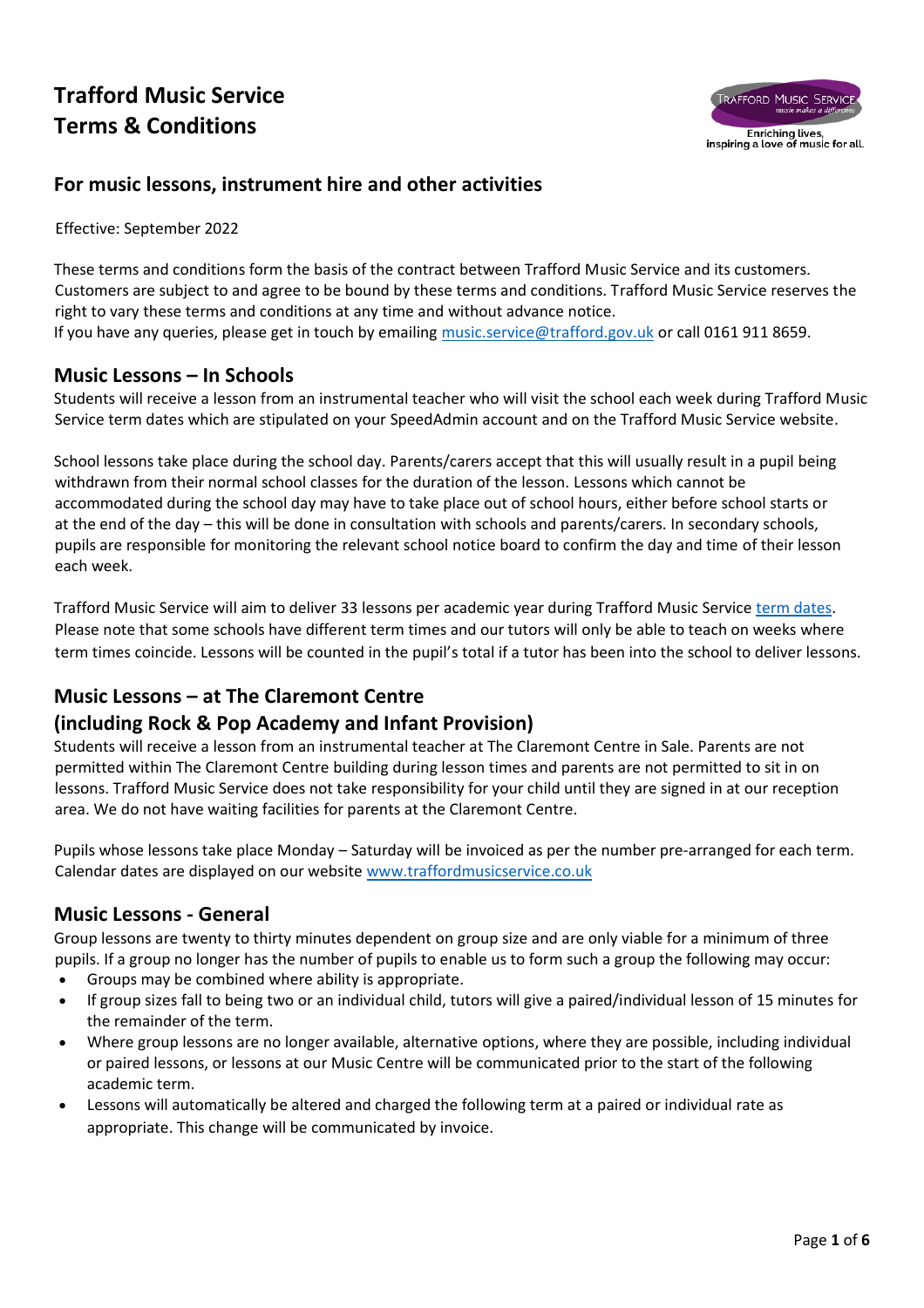

# **For music lessons, instrument hire and other activities**

Effective: September 2022

These terms and conditions form the basis of the contract between Trafford Music Service and its customers. Customers are subject to and agree to be bound by these terms and conditions. Trafford Music Service reserves the right to vary these terms and conditions at any time and without advance notice. If you have any queries, please get in touch by emailing [music.service@trafford.gov.uk](mailto:music.service@trafford.gov.uk) or call 0161 911 8659.

#### **Music Lessons – In Schools**

Students will receive a lesson from an instrumental teacher who will visit the school each week during Trafford Music Service term dates which are stipulated on your SpeedAdmin account and on the Trafford Music Service website.

School lessons take place during the school day. Parents/carers accept that this will usually result in a pupil being withdrawn from their normal school classes for the duration of the lesson. Lessons which cannot be accommodated during the school day may have to take place out of school hours, either before school starts or at the end of the day – this will be done in consultation with schools and parents/carers. In secondary schools, pupils are responsible for monitoring the relevant school notice board to confirm the day and time of their lesson each week.

Trafford Music Service will aim to deliver 33 lessons per academic year during Trafford Music Servic[e term dates.](https://traffordmusicservice.co.uk/about-us/term-dates/) Please note that some schools have different term times and our tutors will only be able to teach on weeks where term times coincide. Lessons will be counted in the pupil's total if a tutor has been into the school to deliver lessons.

# **Music Lessons – at The Claremont Centre**

## **(including Rock & Pop Academy and Infant Provision)**

Students will receive a lesson from an instrumental teacher at The Claremont Centre in Sale. Parents are not permitted within The Claremont Centre building during lesson times and parents are not permitted to sit in on lessons. Trafford Music Service does not take responsibility for your child until they are signed in at our reception area. We do not have waiting facilities for parents at the Claremont Centre.

Pupils whose lessons take place Monday – Saturday will be invoiced as per the number pre-arranged for each term. Calendar dates are displayed on our website [www.traffordmusicservice.co.uk](http://www.traffordmusicservice.co.uk/) 

## **Music Lessons - General**

Group lessons are twenty to thirty minutes dependent on group size and are only viable for a minimum of three pupils. If a group no longer has the number of pupils to enable us to form such a group the following may occur:

- Groups may be combined where ability is appropriate.
- If group sizes fall to being two or an individual child, tutors will give a paired/individual lesson of 15 minutes for the remainder of the term.
- Where group lessons are no longer available, alternative options, where they are possible, including individual or paired lessons, or lessons at our Music Centre will be communicated prior to the start of the following academic term.
- Lessons will automatically be altered and charged the following term at a paired or individual rate as appropriate. This change will be communicated by invoice.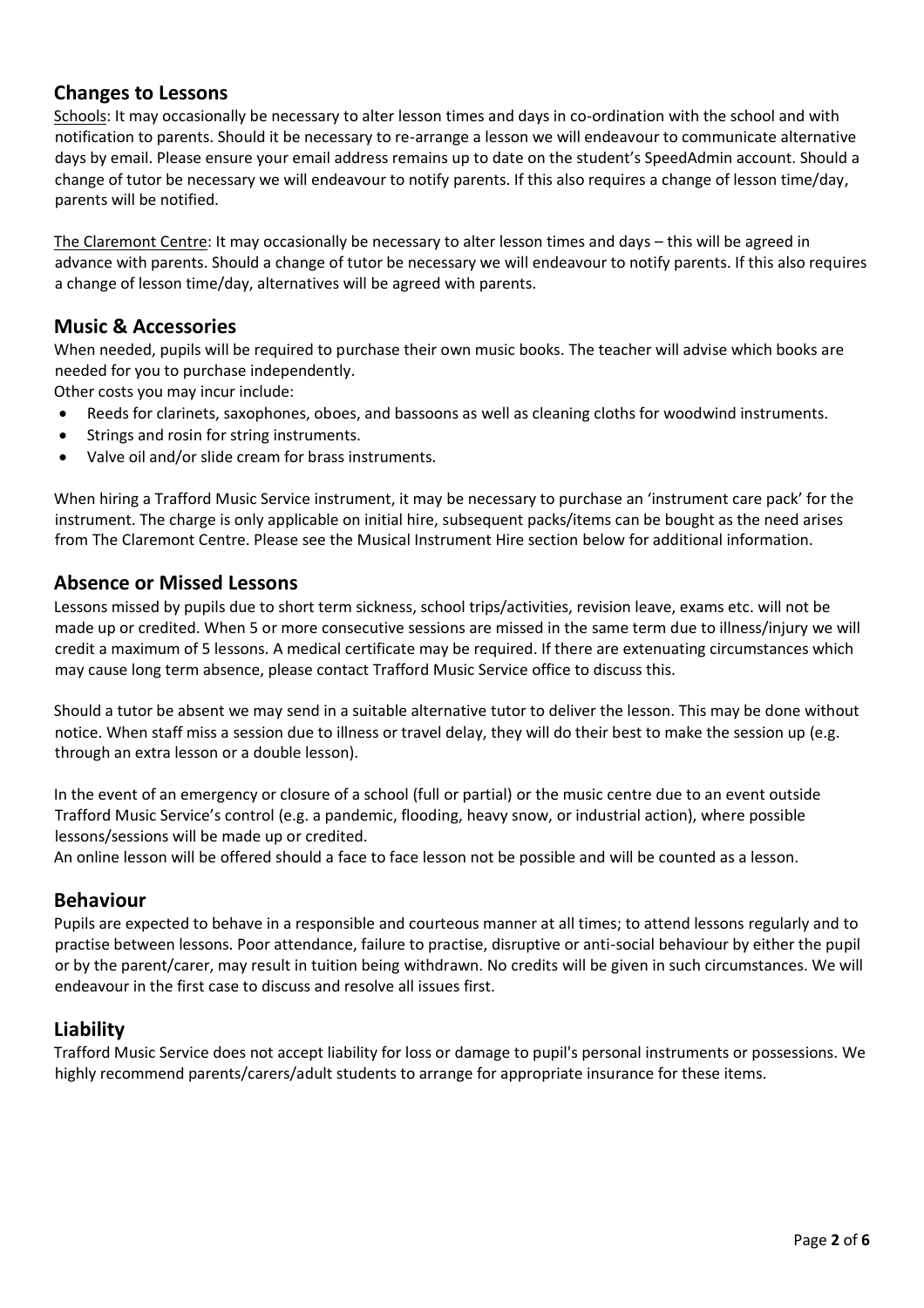### **Changes to Lessons**

Schools: It may occasionally be necessary to alter lesson times and days in co-ordination with the school and with notification to parents. Should it be necessary to re-arrange a lesson we will endeavour to communicate alternative days by email. Please ensure your email address remains up to date on the student's SpeedAdmin account. Should a change of tutor be necessary we will endeavour to notify parents. If this also requires a change of lesson time/day, parents will be notified.

The Claremont Centre: It may occasionally be necessary to alter lesson times and days – this will be agreed in advance with parents. Should a change of tutor be necessary we will endeavour to notify parents. If this also requires a change of lesson time/day, alternatives will be agreed with parents.

### **Music & Accessories**

When needed, pupils will be required to purchase their own music books. The teacher will advise which books are needed for you to purchase independently.

Other costs you may incur include:

- Reeds for clarinets, saxophones, oboes, and bassoons as well as cleaning cloths for woodwind instruments.
- Strings and rosin for string instruments.
- Valve oil and/or slide cream for brass instruments.

When hiring a Trafford Music Service instrument, it may be necessary to purchase an 'instrument care pack' for the instrument. The charge is only applicable on initial hire, subsequent packs/items can be bought as the need arises from The Claremont Centre. Please see the Musical Instrument Hire section below for additional information.

#### **Absence or Missed Lessons**

Lessons missed by pupils due to short term sickness, school trips/activities, revision leave, exams etc. will not be made up or credited. When 5 or more consecutive sessions are missed in the same term due to illness/injury we will credit a maximum of 5 lessons. A medical certificate may be required. If there are extenuating circumstances which may cause long term absence, please contact Trafford Music Service office to discuss this.

Should a tutor be absent we may send in a suitable alternative tutor to deliver the lesson. This may be done without notice. When staff miss a session due to illness or travel delay, they will do their best to make the session up (e.g. through an extra lesson or a double lesson).

In the event of an emergency or closure of a school (full or partial) or the music centre due to an event outside Trafford Music Service's control (e.g. a pandemic, flooding, heavy snow, or industrial action), where possible lessons/sessions will be made up or credited.

An online lesson will be offered should a face to face lesson not be possible and will be counted as a lesson.

#### **Behaviour**

Pupils are expected to behave in a responsible and courteous manner at all times; to attend lessons regularly and to practise between lessons. Poor attendance, failure to practise, disruptive or anti-social behaviour by either the pupil or by the parent/carer, may result in tuition being withdrawn. No credits will be given in such circumstances. We will endeavour in the first case to discuss and resolve all issues first.

#### **Liability**

Trafford Music Service does not accept liability for loss or damage to pupil's personal instruments or possessions. We highly recommend parents/carers/adult students to arrange for appropriate insurance for these items.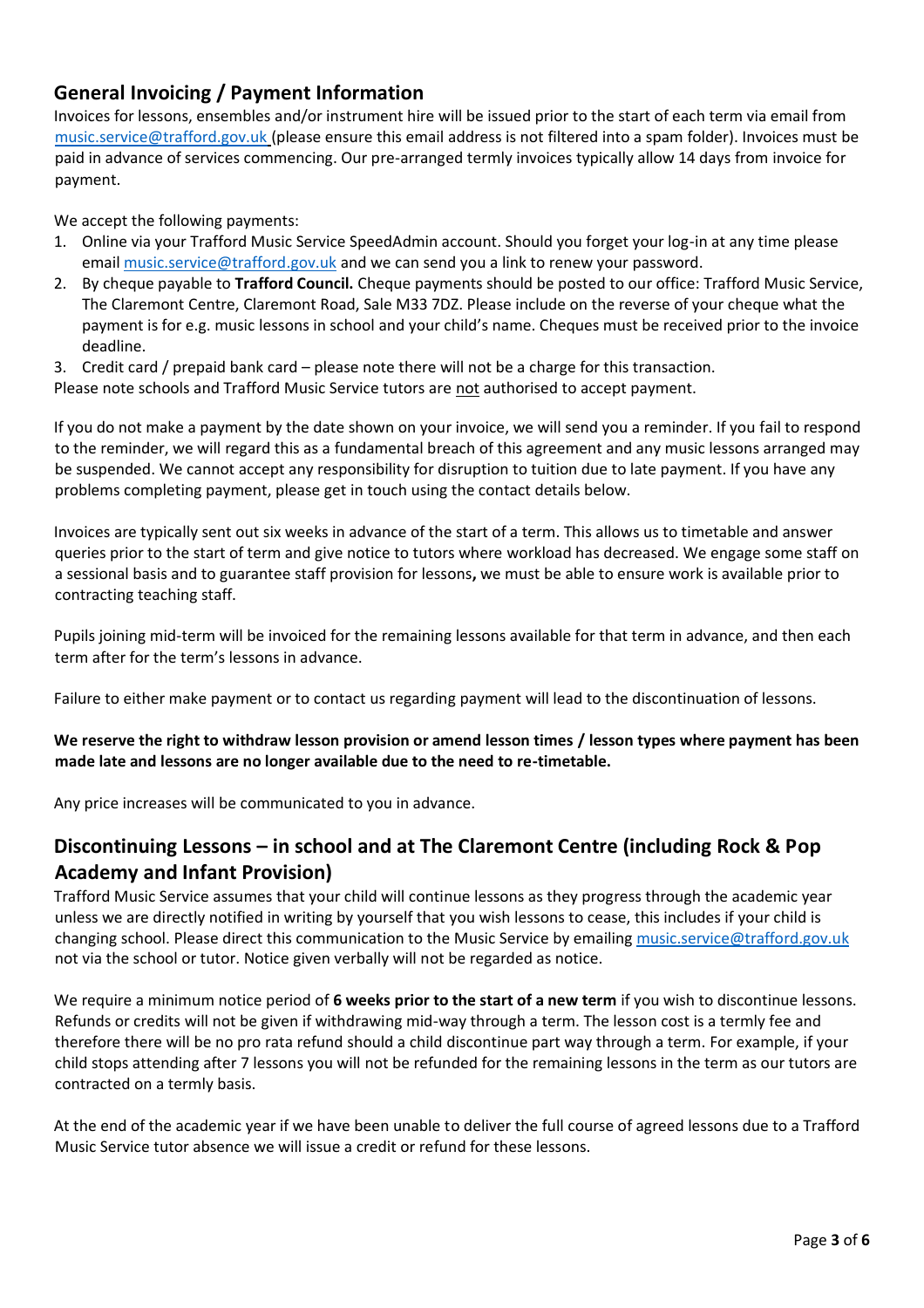# **General Invoicing / Payment Information**

Invoices for lessons, ensembles and/or instrument hire will be issued prior to the start of each term via email from [music.service@trafford.gov.uk](mailto:music.service@trafford.gov.uk) (please ensure this email address is not filtered into a spam folder). Invoices must be paid in advance of services commencing. Our pre-arranged termly invoices typically allow 14 days from invoice for payment.

We accept the following payments:

- 1. Online via your Trafford Music Service SpeedAdmin account. Should you forget your log-in at any time please emai[l music.service@trafford.gov.uk](mailto:music.service@trafford.gov.uk) and we can send you a link to renew your password.
- 2. By cheque payable to **Trafford Council.** Cheque payments should be posted to our office: Trafford Music Service, The Claremont Centre, Claremont Road, Sale M33 7DZ. Please include on the reverse of your cheque what the payment is for e.g. music lessons in school and your child's name. Cheques must be received prior to the invoice deadline.
- 3. Credit card / prepaid bank card please note there will not be a charge for this transaction.

Please note schools and Trafford Music Service tutors are not authorised to accept payment.

If you do not make a payment by the date shown on your invoice, we will send you a reminder. If you fail to respond to the reminder, we will regard this as a fundamental breach of this agreement and any music lessons arranged may be suspended. We cannot accept any responsibility for disruption to tuition due to late payment. If you have any problems completing payment, please get in touch using the contact details below.

Invoices are typically sent out six weeks in advance of the start of a term. This allows us to timetable and answer queries prior to the start of term and give notice to tutors where workload has decreased. We engage some staff on a sessional basis and to guarantee staff provision for lessons**,** we must be able to ensure work is available prior to contracting teaching staff.

Pupils joining mid-term will be invoiced for the remaining lessons available for that term in advance, and then each term after for the term's lessons in advance.

Failure to either make payment or to contact us regarding payment will lead to the discontinuation of lessons.

#### **We reserve the right to withdraw lesson provision or amend lesson times / lesson types where payment has been made late and lessons are no longer available due to the need to re-timetable.**

Any price increases will be communicated to you in advance.

# **Discontinuing Lessons – in school and at The Claremont Centre (including Rock & Pop Academy and Infant Provision)**

Trafford Music Service assumes that your child will continue lessons as they progress through the academic year unless we are directly notified in writing by yourself that you wish lessons to cease, this includes if your child is changing school. Please direct this communication to the Music Service by emailin[g music.service@trafford.gov.uk](mailto:music.service@trafford.gov.uk) not via the school or tutor. Notice given verbally will not be regarded as notice.

We require a minimum notice period of **6 weeks prior to the start of a new term** if you wish to discontinue lessons. Refunds or credits will not be given if withdrawing mid-way through a term. The lesson cost is a termly fee and therefore there will be no pro rata refund should a child discontinue part way through a term. For example, if your child stops attending after 7 lessons you will not be refunded for the remaining lessons in the term as our tutors are contracted on a termly basis.

At the end of the academic year if we have been unable to deliver the full course of agreed lessons due to a Trafford Music Service tutor absence we will issue a credit or refund for these lessons.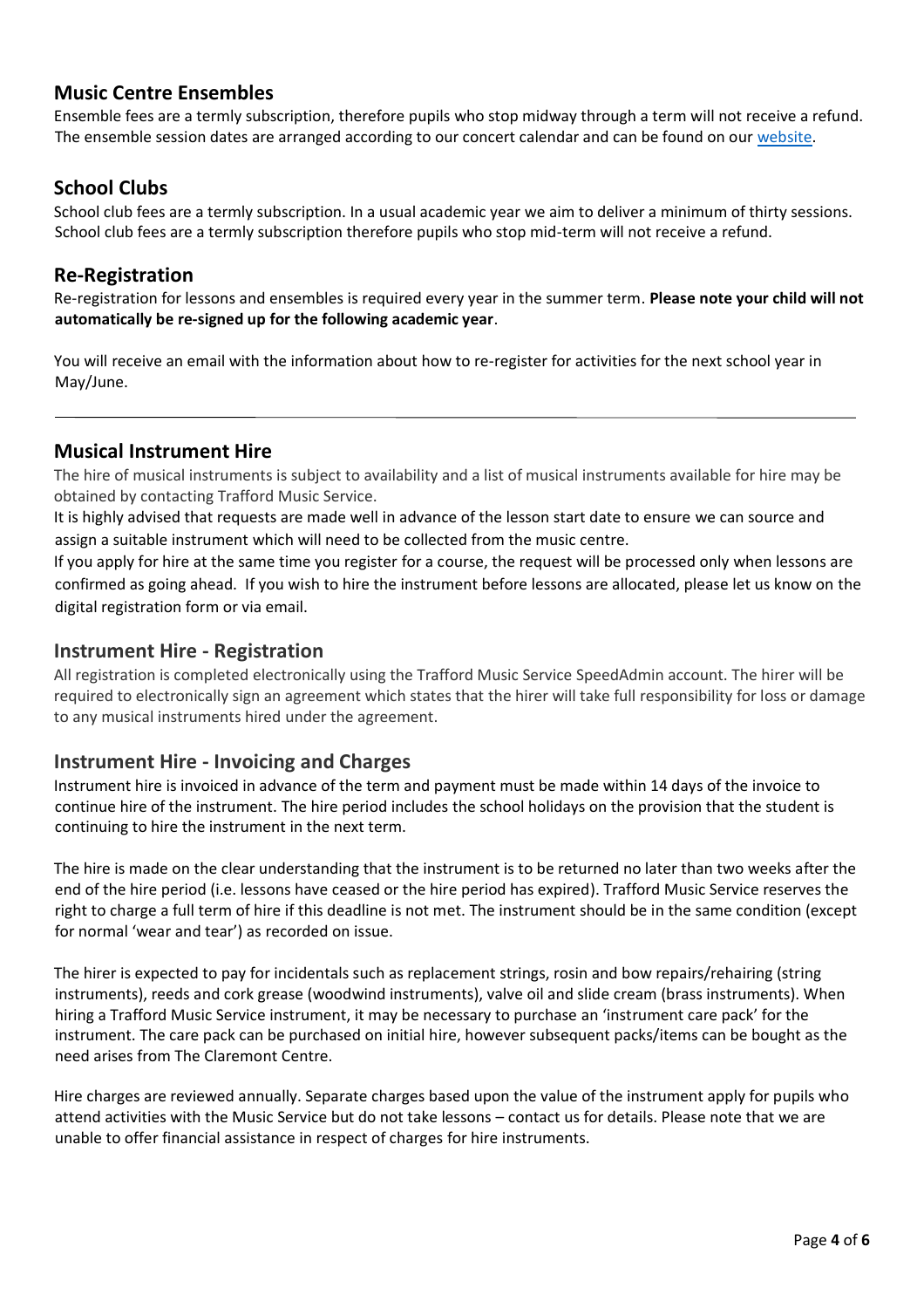## **Music Centre Ensembles**

Ensemble fees are a termly subscription, therefore pupils who stop midway through a term will not receive a refund. The ensemble session dates are arranged according to our concert calendar and can be found on our [website.](https://traffordmusicservice.co.uk/about-us/term-dates/)

# **School Clubs**

School club fees are a termly subscription. In a usual academic year we aim to deliver a minimum of thirty sessions. School club fees are a termly subscription therefore pupils who stop mid-term will not receive a refund.

### **Re-Registration**

Re-registration for lessons and ensembles is required every year in the summer term. **Please note your child will not automatically be re-signed up for the following academic year**.

You will receive an email with the information about how to re-register for activities for the next school year in May/June.

## **Musical Instrument Hire**

The hire of musical instruments is subject to availability and a list of musical instruments available for hire may be obtained by contacting Trafford Music Service.

It is highly advised that requests are made well in advance of the lesson start date to ensure we can source and assign a suitable instrument which will need to be collected from the music centre.

If you apply for hire at the same time you register for a course, the request will be processed only when lessons are confirmed as going ahead. If you wish to hire the instrument before lessons are allocated, please let us know on the digital registration form or via email.

#### **Instrument Hire - Registration**

All registration is completed electronically using the Trafford Music Service SpeedAdmin account. The hirer will be required to electronically sign an agreement which states that the hirer will take full responsibility for loss or damage to any musical instruments hired under the agreement.

## **Instrument Hire - Invoicing and Charges**

Instrument hire is invoiced in advance of the term and payment must be made within 14 days of the invoice to continue hire of the instrument. The hire period includes the school holidays on the provision that the student is continuing to hire the instrument in the next term.

The hire is made on the clear understanding that the instrument is to be returned no later than two weeks after the end of the hire period (i.e. lessons have ceased or the hire period has expired). Trafford Music Service reserves the right to charge a full term of hire if this deadline is not met. The instrument should be in the same condition (except for normal 'wear and tear') as recorded on issue.

The hirer is expected to pay for incidentals such as replacement strings, rosin and bow repairs/rehairing (string instruments), reeds and cork grease (woodwind instruments), valve oil and slide cream (brass instruments). When hiring a Trafford Music Service instrument, it may be necessary to purchase an 'instrument care pack' for the instrument. The care pack can be purchased on initial hire, however subsequent packs/items can be bought as the need arises from The Claremont Centre.

Hire charges are reviewed annually. Separate charges based upon the value of the instrument apply for pupils who attend activities with the Music Service but do not take lessons – contact us for details. Please note that we are unable to offer financial assistance in respect of charges for hire instruments.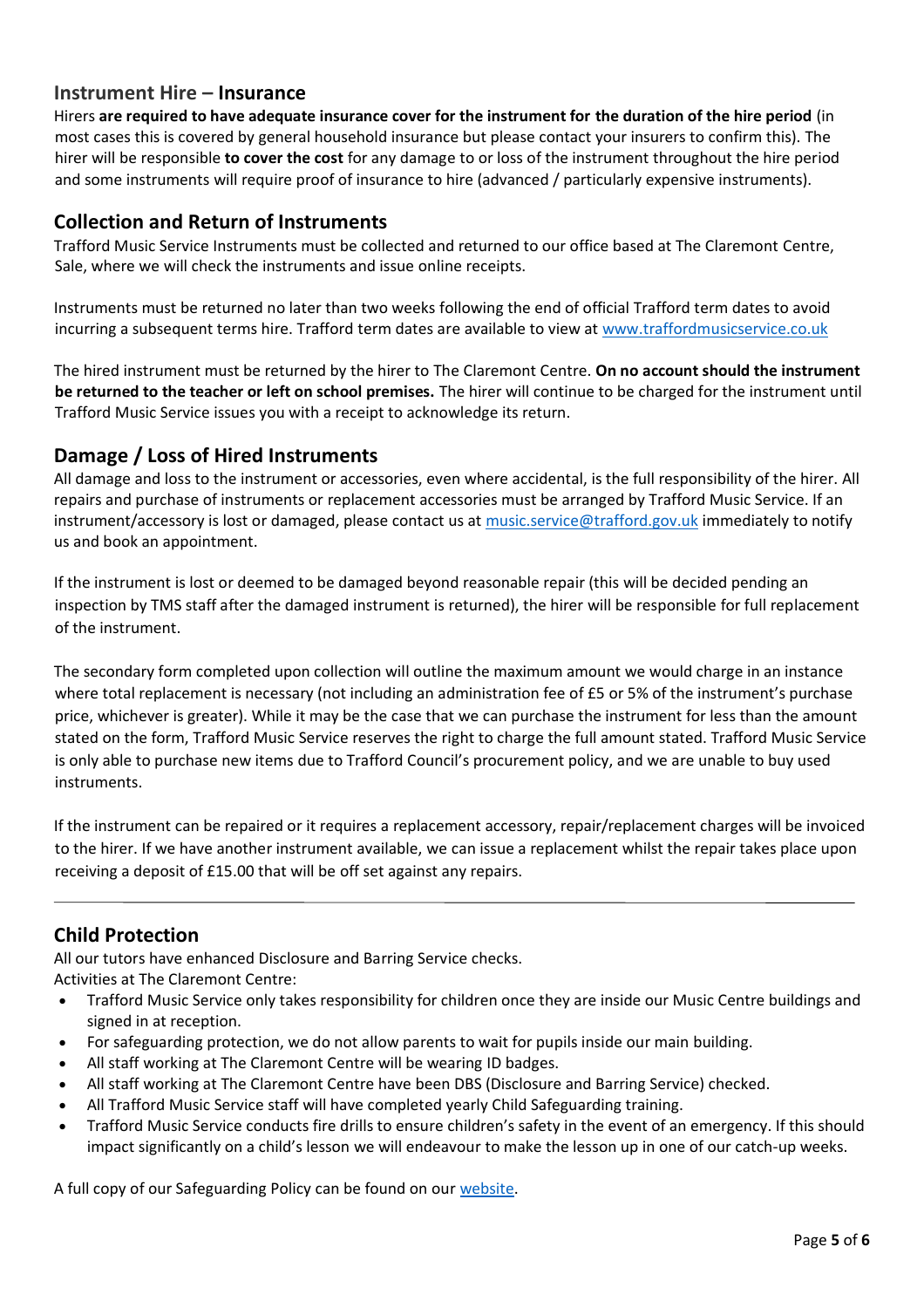## **Instrument Hire – Insurance**

Hirers **are required to have adequate insurance cover for the instrument for the duration of the hire period** (in most cases this is covered by general household insurance but please contact your insurers to confirm this). The hirer will be responsible **to cover the cost** for any damage to or loss of the instrument throughout the hire period and some instruments will require proof of insurance to hire (advanced / particularly expensive instruments).

# **Collection and Return of Instruments**

Trafford Music Service Instruments must be collected and returned to our office based at The Claremont Centre, Sale, where we will check the instruments and issue online receipts.

Instruments must be returned no later than two weeks following the end of official Trafford term dates to avoid incurring a subsequent terms hire. Trafford term dates are available to view a[t www.traffordmusicservice.co.uk](http://www.traffordmusicservice.co.uk/)

The hired instrument must be returned by the hirer to The Claremont Centre. **On no account should the instrument be returned to the teacher or left on school premises.** The hirer will continue to be charged for the instrument until Trafford Music Service issues you with a receipt to acknowledge its return.

# **Damage / Loss of Hired Instruments**

All damage and loss to the instrument or accessories, even where accidental, is the full responsibility of the hirer. All repairs and purchase of instruments or replacement accessories must be arranged by Trafford Music Service. If an instrument/accessory is lost or damaged, please contact us a[t music.service@trafford.gov.uk](mailto:music.service@trafford.gov.uk) immediately to notify us and book an appointment.

If the instrument is lost or deemed to be damaged beyond reasonable repair (this will be decided pending an inspection by TMS staff after the damaged instrument is returned), the hirer will be responsible for full replacement of the instrument.

The secondary form completed upon collection will outline the maximum amount we would charge in an instance where total replacement is necessary (not including an administration fee of £5 or 5% of the instrument's purchase price, whichever is greater). While it may be the case that we can purchase the instrument for less than the amount stated on the form, Trafford Music Service reserves the right to charge the full amount stated. Trafford Music Service is only able to purchase new items due to Trafford Council's procurement policy, and we are unable to buy used instruments.

If the instrument can be repaired or it requires a replacement accessory, repair/replacement charges will be invoiced to the hirer. If we have another instrument available, we can issue a replacement whilst the repair takes place upon receiving a deposit of £15.00 that will be off set against any repairs.

# **Child Protection**

All our tutors have enhanced Disclosure and Barring Service checks.

Activities at The Claremont Centre:

- Trafford Music Service only takes responsibility for children once they are inside our Music Centre buildings and signed in at reception.
- For safeguarding protection, we do not allow parents to wait for pupils inside our main building.
- All staff working at The Claremont Centre will be wearing ID badges.
- All staff working at The Claremont Centre have been DBS (Disclosure and Barring Service) checked.
- All Trafford Music Service staff will have completed yearly Child Safeguarding training.
- Trafford Music Service conducts fire drills to ensure children's safety in the event of an emergency. If this should impact significantly on a child's lesson we will endeavour to make the lesson up in one of our catch-up weeks.

A full copy of our Safeguarding Policy can be found on our [website.](https://traffordmusicservice.co.uk/about-us/policies/)